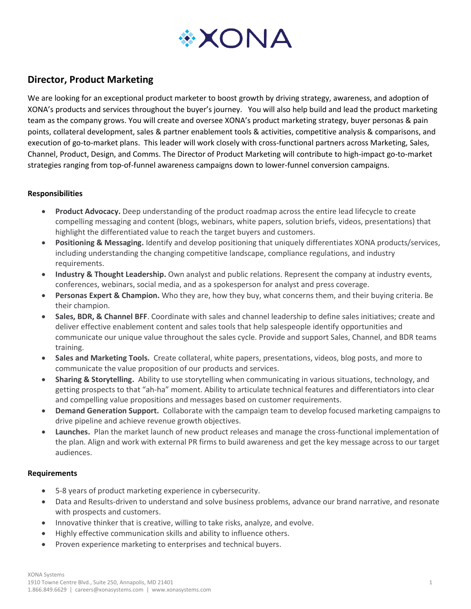

# **Director, Product Marketing**

We are looking for an exceptional product marketer to boost growth by driving strategy, awareness, and adoption of XONA's products and services throughout the buyer's journey. You will also help build and lead the product marketing team as the company grows. You will create and oversee XONA's product marketing strategy, buyer personas & pain points, collateral development, sales & partner enablement tools & activities, competitive analysis & comparisons, and execution of go-to-market plans. This leader will work closely with cross-functional partners across Marketing, Sales, Channel, Product, Design, and Comms. The Director of Product Marketing will contribute to high-impact go-to-market strategies ranging from top-of-funnel awareness campaigns down to lower-funnel conversion campaigns.

### **Responsibilities**

- **Product Advocacy.** Deep understanding of the product roadmap across the entire lead lifecycle to create compelling messaging and content (blogs, webinars, white papers, solution briefs, videos, presentations) that highlight the differentiated value to reach the target buyers and customers.
- **Positioning & Messaging.** Identify and develop positioning that uniquely differentiates XONA products/services, including understanding the changing competitive landscape, compliance regulations, and industry requirements.
- **Industry & Thought Leadership.** Own analyst and public relations. Represent the company at industry events, conferences, webinars, social media, and as a spokesperson for analyst and press coverage.
- **Personas Expert & Champion.** Who they are, how they buy, what concerns them, and their buying criteria. Be their champion.
- **Sales, BDR, & Channel BFF**. Coordinate with sales and channel leadership to define sales initiatives; create and deliver effective enablement content and sales tools that help salespeople identify opportunities and communicate our unique value throughout the sales cycle. Provide and support Sales, Channel, and BDR teams training.
- **Sales and Marketing Tools.** Create collateral, white papers, presentations, videos, blog posts, and more to communicate the value proposition of our products and services.
- **Sharing & Storytelling.** Ability to use storytelling when communicating in various situations, technology, and getting prospects to that "ah-ha" moment. Ability to articulate technical features and differentiators into clear and compelling value propositions and messages based on customer requirements.
- **Demand Generation Support.** Collaborate with the campaign team to develop focused marketing campaigns to drive pipeline and achieve revenue growth objectives.
- **Launches.** Plan the market launch of new product releases and manage the cross-functional implementation of the plan. Align and work with external PR firms to build awareness and get the key message across to our target audiences.

### **Requirements**

- 5-8 years of product marketing experience in cybersecurity.
- Data and Results-driven to understand and solve business problems, advance our brand narrative, and resonate with prospects and customers.
- Innovative thinker that is creative, willing to take risks, analyze, and evolve.
- Highly effective communication skills and ability to influence others.
- Proven experience marketing to enterprises and technical buyers.